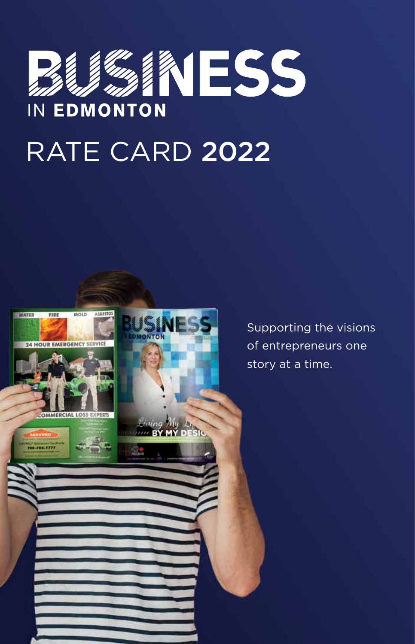# **ESS** IN EDMONTON RATE CARD 2022



Supporting the visions of entrepreneurs one story at a time.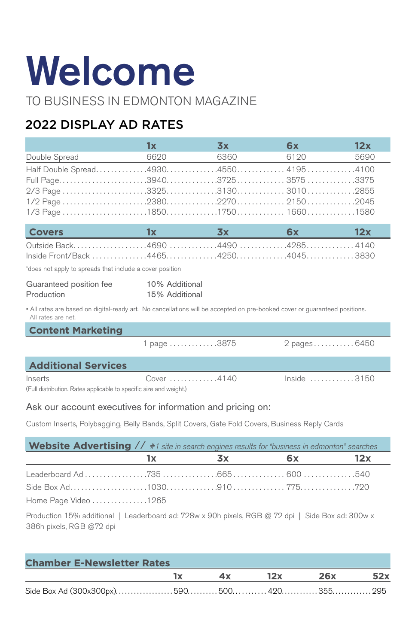# Welcome

TO BUSINESS IN EDMONTON MAGAZINE

## 2022 DISPLAY AD RATES

|                                                                                                                                                  | 1x                               | 3x        | 6x            | 12x  |  |
|--------------------------------------------------------------------------------------------------------------------------------------------------|----------------------------------|-----------|---------------|------|--|
| Double Spread                                                                                                                                    | 6620                             | 6360      | 6120          | 5690 |  |
| Half Double Spread49304550 41954100                                                                                                              |                                  |           |               |      |  |
|                                                                                                                                                  |                                  |           |               |      |  |
|                                                                                                                                                  |                                  |           |               |      |  |
|                                                                                                                                                  |                                  |           |               |      |  |
|                                                                                                                                                  |                                  |           |               |      |  |
| <b>Covers</b>                                                                                                                                    | 1x                               | <b>3x</b> | 6x            | 12x  |  |
| Outside Back4690 4490 42854140                                                                                                                   |                                  |           |               |      |  |
| *does not apply to spreads that include a cover position                                                                                         |                                  |           |               |      |  |
| Guaranteed position fee<br>Production                                                                                                            | 10% Additional<br>15% Additional |           |               |      |  |
| • All rates are based on digital-ready art. No cancellations will be accepted on pre-booked cover or guaranteed positions.<br>All rates are net. |                                  |           |               |      |  |
| <b>Content Marketing</b>                                                                                                                         |                                  |           |               |      |  |
|                                                                                                                                                  | 1 page 3875                      |           | 2 pages6450   |      |  |
| <b>Additional Services</b>                                                                                                                       |                                  |           |               |      |  |
| Inserts<br>(Full distribution. Rates applicable to specific size and weight.)                                                                    | Cover 4140                       |           | $Inside$ 3150 |      |  |
| Ask our account executives for information and pricing on:                                                                                       |                                  |           |               |      |  |

Custom Inserts, Polybagging, Belly Bands, Split Covers, Gate Fold Covers, Business Reply Cards

| <b>Website Advertising</b> $// #1$ site in search engines results for "business in edmonton" searches |      |                         |      |     |
|-------------------------------------------------------------------------------------------------------|------|-------------------------|------|-----|
|                                                                                                       | 1x I | $\mathbf{S} \mathbf{X}$ | 6x — | 12x |
|                                                                                                       |      |                         |      |     |
|                                                                                                       |      |                         |      |     |
| Home Page Video 1265                                                                                  |      |                         |      |     |

Production 15% additional | Leaderboard ad: 728w x 90h pixels, RGB @ 72 dpi | Side Box ad: 300w x 386h pixels, RGB @72 dpi

| <b>Chamber E-Newsletter Rates</b> |                         |  |  |                |  |
|-----------------------------------|-------------------------|--|--|----------------|--|
|                                   | $\mathbf{I} \mathbf{x}$ |  |  | 4x 12x 26x 52x |  |
|                                   |                         |  |  |                |  |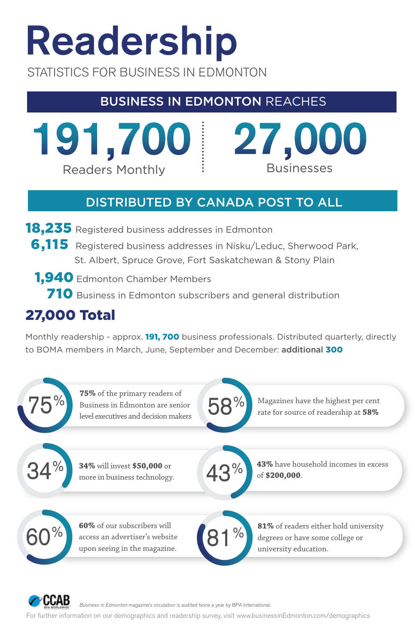# Readership

STATISTICS FOR BUSINESS IN EDMONTON

# BUSINESS IN EDMONTON REACHES

191,700 Readers Monthly  $\qquad \qquad$  : Businesses

# 27,000

# DISTRIBUTED BY CANADA POST TO ALL

- **18,235** Registered business addresses in Edmonton
	- 6,115 Registered business addresses in Nisku/Leduc, Sherwood Park, St. Albert, Spruce Grove, Fort Saskatchewan & Stony Plain
	- 1,940 Edmonton Chamber Members
		- 710 Business in Edmonton subscribers and general distribution

# 27,000 Total

rccab

Monthly readership - approx. **191, 700** business professionals. Distributed quarterly, directly to BOMA members in March, June, September and December: additional 300



Business in Edmonton magazine's circulation is audited twice a year by BPA International.

For further information on our demographics and readership survey, visit www.businessinEdmonton.com/demographics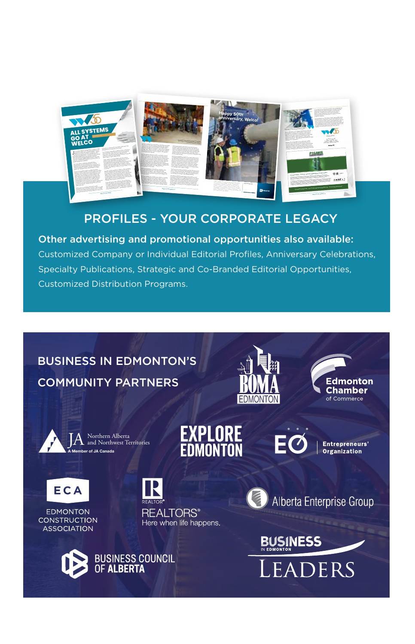

## PROFILES - YOUR CORPORATE LEGACY

Other advertising and promotional opportunities also available: Customized Company or Individual Editorial Profiles, Anniversary Celebrations, Specialty Publications, Strategic and Co-Branded Editorial Opportunities, Customized Distribution Programs.

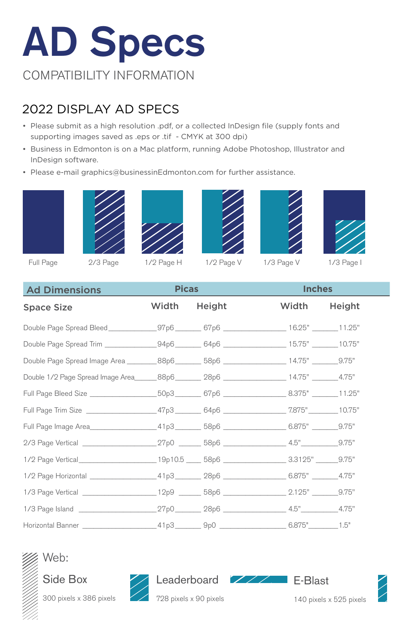# AD Specs COMPATIBILITY INFORMATION

## 2022 DISPLAY AD SPECS

- Please submit as a high resolution .pdf, or a collected InDesign file (supply fonts and supporting images saved as .eps or .tif - CMYK at 300 dpi)
- Business in Edmonton is on a Mac platform, running Adobe Photoshop, Illustrator and InDesign software.
- Please e-mail graphics@businessinEdmonton.com for further assistance.













Full Page 2/3 Page 1/2 Page H 1/2 Page V 1/3 Page V 1/3 Page I

| <b>Ad Dimensions</b>                                                                                  | <b>Picas</b> |              | <b>Inches</b> |  |  |
|-------------------------------------------------------------------------------------------------------|--------------|--------------|---------------|--|--|
| <b>Space Size</b>                                                                                     |              | Width Height | Width Height  |  |  |
| Double Page Spread Bleed ______________97p6 _________67p6 _________________16.25" _______11.25"       |              |              |               |  |  |
| Double Page Spread Trim _______________94p6 ________ 64p6 __________________15.75" _______10.75"      |              |              |               |  |  |
| Double Page Spread Image Area _________88p6 ________ 58p6 __________________ 14.75" ________9.75"     |              |              |               |  |  |
| Double 1/2 Page Spread Image Area _______88p6 _________ 28p6 ___________________ 14.75" ________4.75" |              |              |               |  |  |
| Full Page Bleed Size ____________________50p3_________67p6 __________________8.375" _______11.25"     |              |              |               |  |  |
| Full Page Trim Size ____________________47p3 ________ 64p6 ________________7.875" ________10.75"      |              |              |               |  |  |
| Full Page Image Area ____________________41p3_________58p6 __________________6.875" ________9.75"     |              |              |               |  |  |
|                                                                                                       |              |              |               |  |  |
| 1/2 Page Vertical _____________________19p10.5 _____ 58p6 ____________________3.3125" ______9.75"     |              |              |               |  |  |
|                                                                                                       |              |              |               |  |  |
|                                                                                                       |              |              |               |  |  |
|                                                                                                       |              |              |               |  |  |
|                                                                                                       |              |              |               |  |  |





300 pixels x 386 pixels





728 pixels x 90 pixels

E-Blast